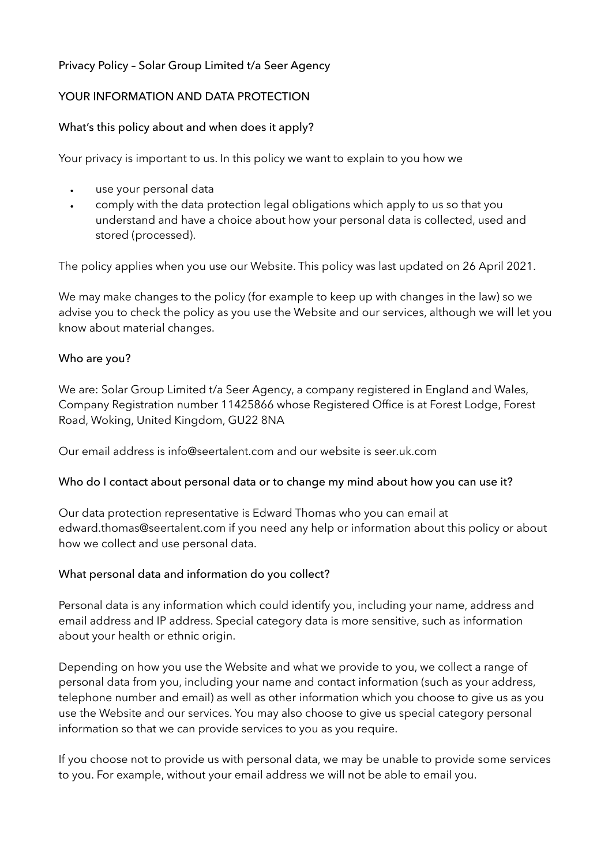# Privacy Policy – Solar Group Limited t/a Seer Agency

# YOUR INFORMATION AND DATA PROTECTION

### What's this policy about and when does it apply?

Your privacy is important to us. In this policy we want to explain to you how we

- use your personal data
- comply with the data protection legal obligations which apply to us so that you understand and have a choice about how your personal data is collected, used and stored (processed).

The policy applies when you use our Website. This policy was last updated on 26 April 2021.

We may make changes to the policy (for example to keep up with changes in the law) so we advise you to check the policy as you use the Website and our services, although we will let you know about material changes.

### Who are you?

We are: Solar Group Limited t/a Seer Agency, a company registered in England and Wales, Company Registration number 11425866 whose Registered Office is at Forest Lodge, Forest Road, Woking, United Kingdom, GU22 8NA

Our email address is info@seertalent.com and our website is seer.uk.com

### Who do I contact about personal data or to change my mind about how you can use it?

Our data protection representative is Edward Thomas who you can email at edward.thomas@seertalent.com if you need any help or information about this policy or about how we collect and use personal data.

# What personal data and information do you collect?

Personal data is any information which could identify you, including your name, address and email address and IP address. Special category data is more sensitive, such as information about your health or ethnic origin.

Depending on how you use the Website and what we provide to you, we collect a range of personal data from you, including your name and contact information (such as your address, telephone number and email) as well as other information which you choose to give us as you use the Website and our services. You may also choose to give us special category personal information so that we can provide services to you as you require.

If you choose not to provide us with personal data, we may be unable to provide some services to you. For example, without your email address we will not be able to email you.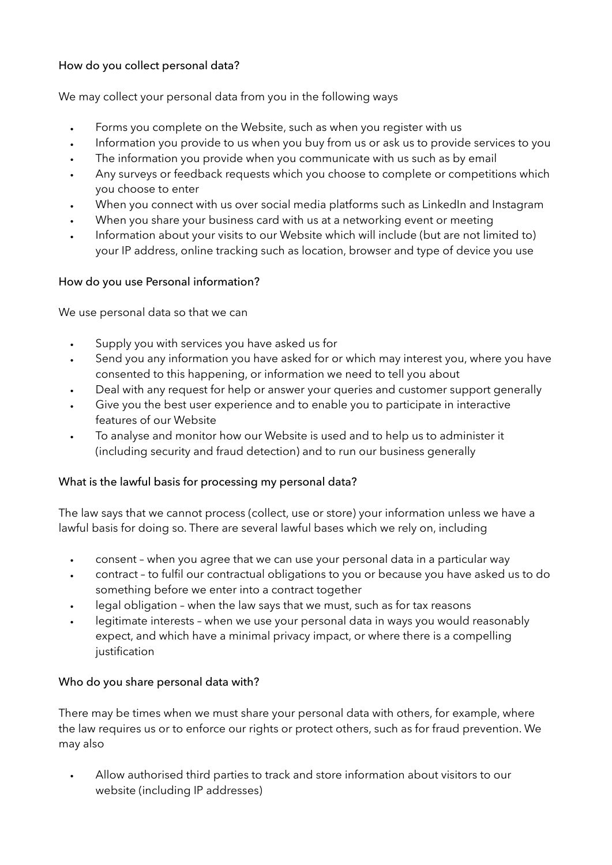# How do you collect personal data?

We may collect your personal data from you in the following ways

- Forms you complete on the Website, such as when you register with us
- Information you provide to us when you buy from us or ask us to provide services to you
- The information you provide when you communicate with us such as by email
- Any surveys or feedback requests which you choose to complete or competitions which you choose to enter
- When you connect with us over social media platforms such as LinkedIn and Instagram
- When you share your business card with us at a networking event or meeting
- Information about your visits to our Website which will include (but are not limited to) your IP address, online tracking such as location, browser and type of device you use

### How do you use Personal information?

We use personal data so that we can

- Supply you with services you have asked us for
- Send you any information you have asked for or which may interest you, where you have consented to this happening, or information we need to tell you about
- Deal with any request for help or answer your queries and customer support generally
- Give you the best user experience and to enable you to participate in interactive features of our Website
- To analyse and monitor how our Website is used and to help us to administer it (including security and fraud detection) and to run our business generally

### What is the lawful basis for processing my personal data?

The law says that we cannot process (collect, use or store) your information unless we have a lawful basis for doing so. There are several lawful bases which we rely on, including

- consent when you agree that we can use your personal data in a particular way
- contract to fulfil our contractual obligations to you or because you have asked us to do something before we enter into a contract together
- legal obligation when the law says that we must, such as for tax reasons
- legitimate interests when we use your personal data in ways you would reasonably expect, and which have a minimal privacy impact, or where there is a compelling justification

### Who do you share personal data with?

There may be times when we must share your personal data with others, for example, where the law requires us or to enforce our rights or protect others, such as for fraud prevention. We may also

• Allow authorised third parties to track and store information about visitors to our website (including IP addresses)